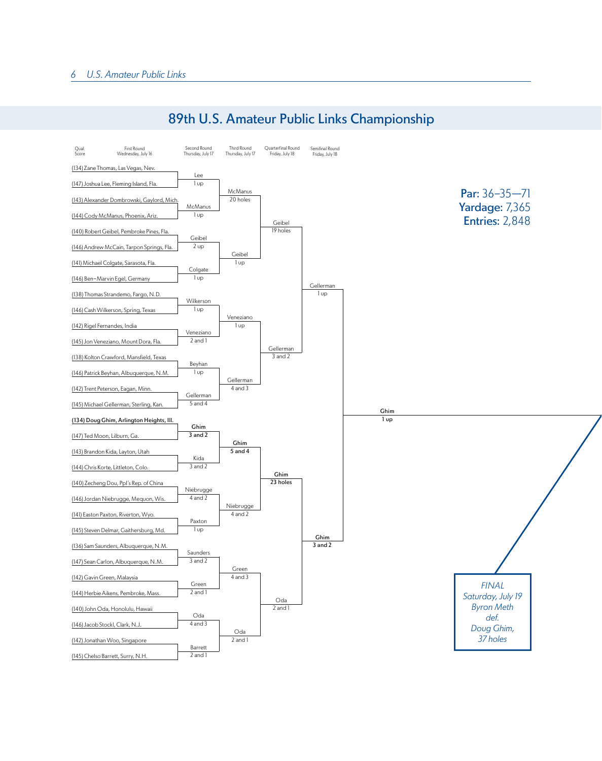

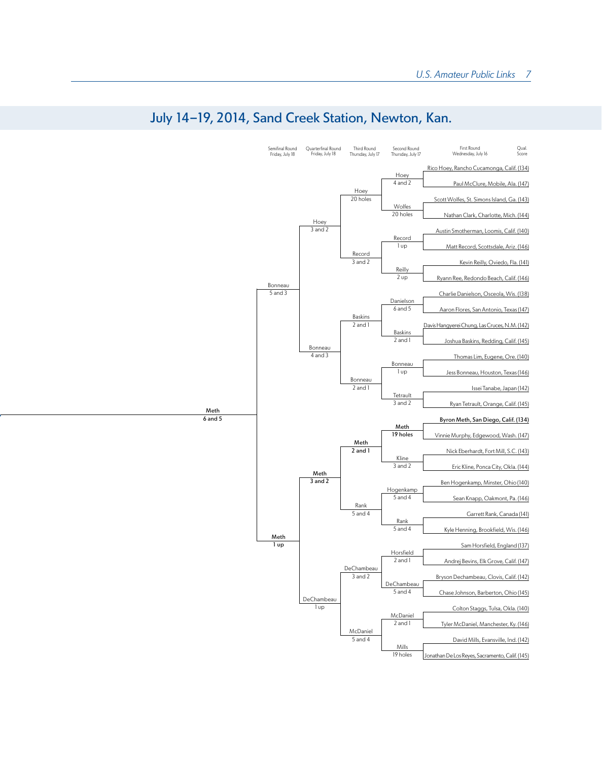

## July 14-19, 2014, Sand Creek Station, Newton, Kan.